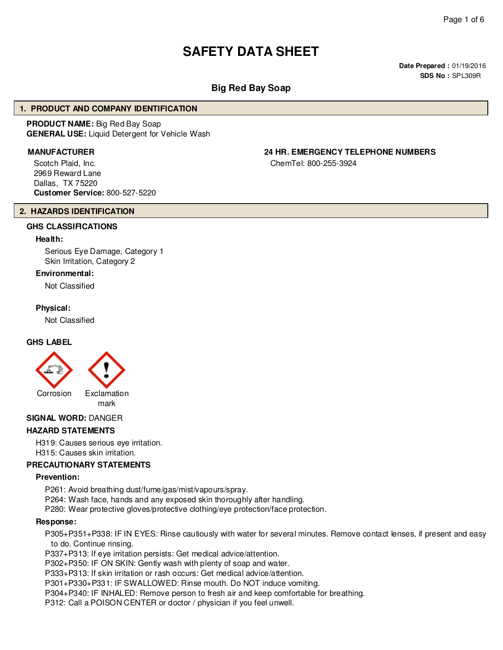# **SAFETY DATA SHEET**

**Date Prepared :** 01/19/2016 **SDS No :** SPL309R

# **Big Red Bay Soap**

#### **1. PRODUCT AND COMPANY IDENTIFICATION**

**PRODUCT NAME:** Big Red Bay Soap **GENERAL USE:** Liquid Detergent for Vehicle Wash

Scotch Plaid, Inc. 2969 Reward Lane Dallas, TX 75220 **Customer Service:** 800-527-5220

# **MANUFACTURER 24 HR. EMERGENCY TELEPHONE NUMBERS**

ChemTel: 800-255-3924

#### **2. HAZARDS IDENTIFICATION**

# **GHS CLASSIFICATIONS**

#### **Health:**

Serious Eye Damage, Category 1 Skin Irritation, Category 2

#### **Environmental:**

Not Classified

#### **Physical:**

Not Classified

#### **GHS LABEL**



#### **SIGNAL WORD:** DANGER

#### **HAZARD STATEMENTS**

H319: Causes serious eye irritation. H315: Causes skin irritation.

#### **PRECAUTIONARY STATEMENTS**

#### **Prevention:**

P261: Avoid breathing dust/fume/gas/mist/vapours/spray.

P264: Wash face, hands and any exposed skin thoroughly after handling.

P280: Wear protective gloves/protective clothing/eye protection/face protection.

#### **Response:**

P305+P351+P338: IF IN EYES: Rinse cautiously with water for several minutes. Remove contact lenses, if present and easy to do. Continue rinsing.

P337+P313: If eye irritation persists: Get medical advice/attention.

P302+P350: IF ON SKIN: Gently wash with plenty of soap and water.

P333+P313: If skin irritation or rash occurs: Get medical advice/attention.

P301+P330+P331: IF SWALLOWED: Rinse mouth. Do NOT induce vomiting.

P304+P340: IF INHALED: Remove person to fresh air and keep comfortable for breathing.

P312: Call a POISON CENTER or doctor / physician if you feel unwell.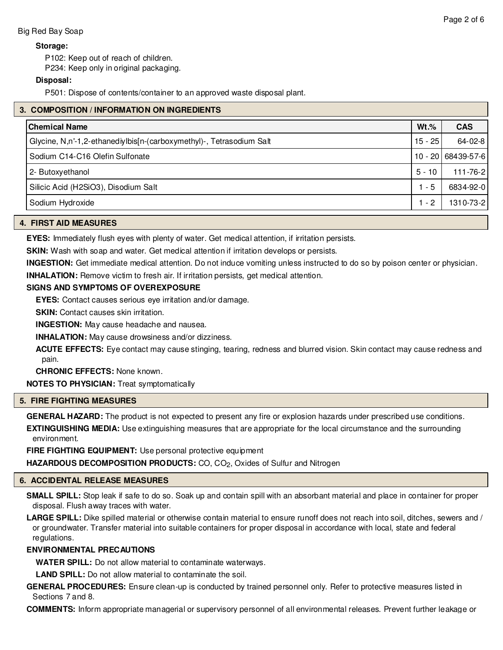# **Storage:**

P102: Keep out of reach of children.

P234: Keep only in original packaging.

# **Disposal:**

P501: Dispose of contents/container to an approved waste disposal plant.

|  | 3. COMPOSITION / INFORMATION ON INGREDIENTS                          |           |                    |  |
|--|----------------------------------------------------------------------|-----------|--------------------|--|
|  | <b>Chemical Name</b>                                                 | $Wt.\%$   | <b>CAS</b>         |  |
|  | Glycine, N,n'-1,2-ethanediylbis[n-(carboxymethyl)-, Tetrasodium Salt | $15 - 25$ | $64 - 02 - 8$      |  |
|  | Sodium C14-C16 Olefin Sulfonate                                      |           | 10 - 20 68439-57-6 |  |
|  | 2- Butoxyethanol                                                     | $5 - 10$  | 111-76-2           |  |
|  | Silicic Acid (H2SiO3), Disodium Salt                                 | $1 - 5$   | 6834-92-0          |  |
|  | Sodium Hydroxide                                                     | $1 - 2$   | 1310-73-2          |  |
|  |                                                                      |           |                    |  |

### **4. FIRST AID MEASURES**

**EYES:** Immediately flush eyes with plenty of water. Get medical attention, if irritation persists.

**SKIN:** Wash with soap and water. Get medical attention if irritation develops or persists.

**INGESTION:** Get immediate medical attention. Do not induce vomiting unless instructed to do so by poison center or physician.

**INHALATION:** Remove victim to fresh air. If irritation persists, get medical attention.

# **SIGNS AND SYMPTOMS OF OVEREXPOSURE**

**EYES:** Contact causes serious eye irritation and/or damage.

**SKIN:** Contact causes skin irritation.

**INGESTION:** May cause headache and nausea.

**INHALATION:** May cause drowsiness and/or dizziness.

**ACUTE EFFECTS:** Eye contact may cause stinging, tearing, redness and blurred vision. Skin contact may cause redness and pain.

**CHRONIC EFFECTS:** None known.

**NOTES TO PHYSICIAN:** Treat symptomatically

# **5. FIRE FIGHTING MEASURES**

**GENERAL HAZARD:** The product is not expected to present any fire or explosion hazards under prescribed use conditions. **EXTINGUISHING MEDIA:** Use extinguishing measures that are appropriate for the local circumstance and the surrounding environment.

**FIRE FIGHTING EQUIPMENT:** Use personal protective equipment **HAZARDOUS DECOMPOSITION PRODUCTS:** CO, CO<sub>2</sub>, Oxides of Sulfur and Nitrogen

# **6. ACCIDENTAL RELEASE MEASURES**

**SMALL SPILL:** Stop leak if safe to do so. Soak up and contain spill with an absorbant material and place in container for proper disposal. Flush away traces with water.

**LARGE SPILL:** Dike spilled material or otherwise contain material to ensure runoff does not reach into soil, ditches, sewers and / or groundwater. Transfer material into suitable containers for proper disposal in accordance with local, state and federal regulations.

#### **ENVIRONMENTAL PRECAUTIONS**

**WATER SPILL:** Do not allow material to contaminate waterways.

**LAND SPILL:** Do not allow material to contaminate the soil.

**GENERAL PROCEDURES:** Ensure clean-up is conducted by trained personnel only. Refer to protective measures listed in Sections 7 and 8.

**COMMENTS:** Inform appropriate managerial or supervisory personnel of all environmental releases. Prevent further leakage or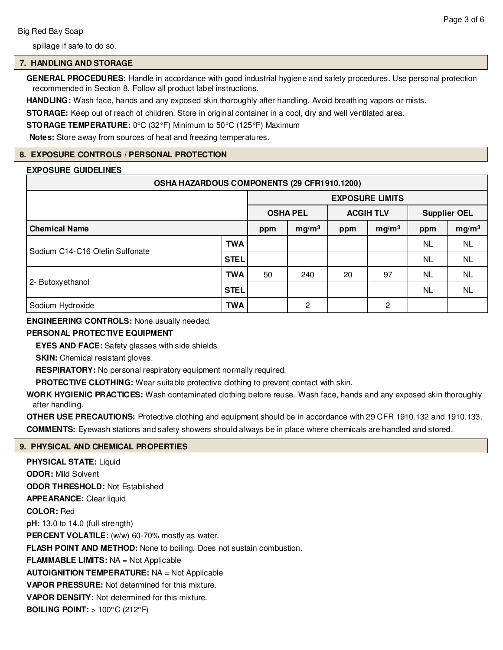spillage if safe to do so.

# **7. HANDLING AND STORAGE**

**GENERAL PROCEDURES:** Handle in accordance with good industrial hygiene and safety procedures. Use personal protection recommended in Section 8. Follow all product label instructions.

**HANDLING:** Wash face, hands and any exposed skin thoroughly after handling. Avoid breathing vapors or mists.

**STORAGE:** Keep out of reach of children. Store in original container in a cool, dry and well ventilated area.

**STORAGE TEMPERATURE:** 0°C (32°F) Minimum to 50°C (125°F) Maximum

**Notes:** Store away from sources of heat and freezing temperatures.

# **8. EXPOSURE CONTROLS / PERSONAL PROTECTION**

# **EXPOSURE GUIDELINES**

| OSHA HAZARDOUS COMPONENTS (29 CFR1910.1200) |             |                                     |                   |                     |                   |           |                   |
|---------------------------------------------|-------------|-------------------------------------|-------------------|---------------------|-------------------|-----------|-------------------|
|                                             |             | <b>EXPOSURE LIMITS</b>              |                   |                     |                   |           |                   |
|                                             |             | <b>ACGIH TLV</b><br><b>OSHA PEL</b> |                   | <b>Supplier OEL</b> |                   |           |                   |
| <b>Chemical Name</b>                        |             | ppm                                 | mg/m <sup>3</sup> | ppm                 | mg/m <sup>3</sup> | ppm       | mg/m <sup>3</sup> |
| Sodium C14-C16 Olefin Sulfonate             | TWA         |                                     |                   |                     |                   | NL.       | <b>NL</b>         |
|                                             | <b>STEL</b> |                                     |                   |                     |                   | <b>NL</b> | NL.               |
|                                             | TWA         | 50                                  | 240               | 20                  | 97                | <b>NL</b> | <b>NL</b>         |
| 2- Butoxyethanol                            | <b>STEL</b> |                                     |                   |                     |                   | <b>NL</b> | <b>NL</b>         |
| Sodium Hydroxide                            | TWA         |                                     | 2                 |                     | 2                 |           |                   |

**ENGINEERING CONTROLS:** None usually needed.

# **PERSONAL PROTECTIVE EQUIPMENT**

**EYES AND FACE:** Safety glasses with side shields.

**SKIN:** Chemical resistant gloves.

**RESPIRATORY:** No personal respiratory equipment normally required.

**PROTECTIVE CLOTHING:** Wear suitable protective clothing to prevent contact with skin.

**WORK HYGIENIC PRACTICES:** Wash contaminated clothing before reuse. Wash face, hands and any exposed skin thoroughly after handling.

**OTHER USE PRECAUTIONS:** Protective clothing and equipment should be in accordance with 29 CFR 1910.132 and 1910.133. **COMMENTS:** Eyewash stations and safety showers should always be in place where chemicals are handled and stored.

# **9. PHYSICAL AND CHEMICAL PROPERTIES**

**PHYSICAL STATE:** Liquid **ODOR:** Mild Solvent **ODOR THRESHOLD:** Not Established **APPEARANCE:** Clear liquid **COLOR:** Red **pH:** 13.0 to 14.0 (full strength) PERCENT VOLATILE: (w/w) 60-70% mostly as water. **FLASH POINT AND METHOD:** None to boiling. Does not sustain combustion. **FLAMMABLE LIMITS:** NA = Not Applicable **AUTOIGNITION TEMPERATURE:** NA = Not Applicable **VAPOR PRESSURE:** Not determined for this mixture. **VAPOR DENSITY:** Not determined for this mixture. **BOILING POINT:** > 100°C (212°F)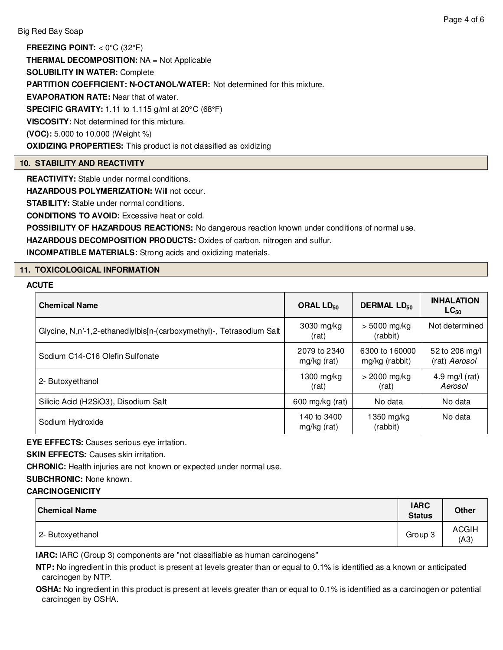**FREEZING POINT:** < 0°C (32°F) **THERMAL DECOMPOSITION:** NA = Not Applicable **SOLUBILITY IN WATER:** Complete **PARTITION COEFFICIENT: N-OCTANOL/WATER:** Not determined for this mixture. **EVAPORATION RATE:** Near that of water. **SPECIFIC GRAVITY:** 1.11 to 1.115 g/ml at 20°C (68°F) **VISCOSITY:** Not determined for this mixture. **(VOC):** 5.000 to 10.000 (Weight %) **OXIDIZING PROPERTIES:** This product is not classified as oxidizing

# **10. STABILITY AND REACTIVITY**

**REACTIVITY:** Stable under normal conditions.

**HAZARDOUS POLYMERIZATION:** Will not occur.

**STABILITY:** Stable under normal conditions.

**CONDITIONS TO AVOID:** Excessive heat or cold.

**POSSIBILITY OF HAZARDOUS REACTIONS:** No dangerous reaction known under conditions of normal use.

**HAZARDOUS DECOMPOSITION PRODUCTS:** Oxides of carbon, nitrogen and sulfur.

**INCOMPATIBLE MATERIALS:** Strong acids and oxidizing materials.

# **11. TOXICOLOGICAL INFORMATION**

# **ACUTE**

| <b>Chemical Name</b>                                                 | ORAL $LD_{50}$              | <b>DERMAL LD<sub>50</sub></b>    | <b>INHALATION</b><br>$LC_{50}$  |
|----------------------------------------------------------------------|-----------------------------|----------------------------------|---------------------------------|
| Glycine, N,n'-1,2-ethanediylbis[n-(carboxymethyl)-, Tetrasodium Salt | 3030 mg/kg<br>(rat)         | $> 5000$ mg/kg<br>(rabbit)       | Not determined                  |
| Sodium C14-C16 Olefin Sulfonate                                      | 2079 to 2340<br>mg/kg (rat) | 6300 to 160000<br>mg/kg (rabbit) | 52 to 206 mg/l<br>(rat) Aerosol |
| 2- Butoxyethanol                                                     | $1300$ mg/kg<br>(rat)       | $>$ 2000 mg/kg<br>(rat)          | 4.9 mg/l $(rat)$<br>Aerosol     |
| Silicic Acid (H2SiO3), Disodium Salt                                 | 600 mg/kg (rat)             | No data                          | No data                         |
| Sodium Hydroxide                                                     | 140 to 3400<br>mg/kg (rat)  | 1350 mg/kg<br>(rabbit)           | No data                         |

**EYE EFFECTS:** Causes serious eye irrtation.

**SKIN EFFECTS: Causes skin irritation.** 

**CHRONIC:** Health injuries are not known or expected under normal use.

**SUBCHRONIC:** None known.

### **CARCINOGENICITY**

| <b>Chemical Name</b> | <b>IARC</b><br><b>Status</b> | <b>Other</b>         |
|----------------------|------------------------------|----------------------|
| 2- Butoxyethanol     | Group 3                      | <b>ACGIH</b><br>(A3) |

**IARC:** IARC (Group 3) components are "not classifiable as human carcinogens"

**NTP:** No ingredient in this product is present at levels greater than or equal to 0.1% is identified as a known or anticipated carcinogen by NTP.

**OSHA:** No ingredient in this product is present at levels greater than or equal to 0.1% is identified as a carcinogen or potential carcinogen by OSHA.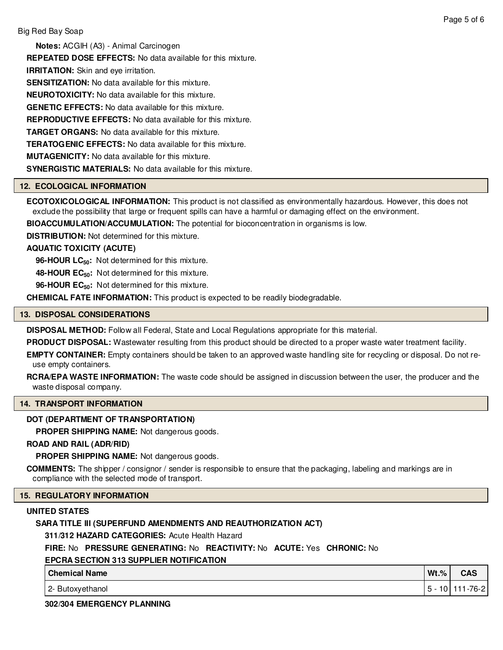**Notes:** ACGIH (A3) - Animal Carcinogen

**REPEATED DOSE EFFECTS:** No data available for this mixture.

**IRRITATION:** Skin and eye irritation.

**SENSITIZATION:** No data available for this mixture.

**NEUROTOXICITY:** No data available for this mixture.

**GENETIC EFFECTS:** No data available for this mixture.

**REPRODUCTIVE EFFECTS:** No data available for this mixture.

**TARGET ORGANS:** No data available for this mixture.

**TERATOGENIC EFFECTS:** No data available for this mixture.

**MUTAGENICITY:** No data available for this mixture.

**SYNERGISTIC MATERIALS:** No data available for this mixture.

### **12. ECOLOGICAL INFORMATION**

**ECOTOXICOLOGICAL INFORMATION:** This product is not classified as environmentally hazardous. However, this does not exclude the possibility that large or frequent spills can have a harmful or damaging effect on the environment.

**BIOACCUMULATION/ACCUMULATION:** The potential for bioconcentration in organisms is low.

**DISTRIBUTION:** Not determined for this mixture.

### **AQUATIC TOXICITY (ACUTE)**

**96-HOUR LC50:** Not determined for this mixture.

**48-HOUR EC50:** Not determined for this mixture.

**96-HOUR EC50:** Not determined for this mixture.

**CHEMICAL FATE INFORMATION:** This product is expected to be readily biodegradable.

### **13. DISPOSAL CONSIDERATIONS**

**DISPOSAL METHOD:** Follow all Federal, State and Local Regulations appropriate for this material.

**PRODUCT DISPOSAL:** Wastewater resulting from this product should be directed to a proper waste water treatment facility.

**EMPTY CONTAINER:** Empty containers should be taken to an approved waste handling site for recycling or disposal. Do not reuse empty containers.

**RCRA/EPA WASTE INFORMATION:** The waste code should be assigned in discussion between the user, the producer and the waste disposal company.

#### **14. TRANSPORT INFORMATION**

# **DOT (DEPARTMENT OF TRANSPORTATION)**

**PROPER SHIPPING NAME:** Not dangerous goods.

#### **ROAD AND RAIL (ADR/RID)**

**PROPER SHIPPING NAME:** Not dangerous goods.

**COMMENTS:** The shipper / consignor / sender is responsible to ensure that the packaging, labeling and markings are in compliance with the selected mode of transport.

#### **15. REGULATORY INFORMATION**

#### **UNITED STATES**

# **SARA TITLE III (SUPERFUND AMENDMENTS AND REAUTHORIZATION ACT)**

**311/312 HAZARD CATEGORIES:** Acute Health Hazard

#### **FIRE:** No **PRESSURE GENERATING:** No **REACTIVITY:** No **ACUTE:** Yes **CHRONIC:** No

# **EPCRA SECTION 313 SUPPLIER NOTIFICATION**

| <b>Chemical Name</b>    | $Wt.$ %              | саэ     |
|-------------------------|----------------------|---------|
| Butoxyethanol<br>$\sim$ | $\sim$<br>.ວ -<br>ιv | $-76-2$ |

#### **302/304 EMERGENCY PLANNING**